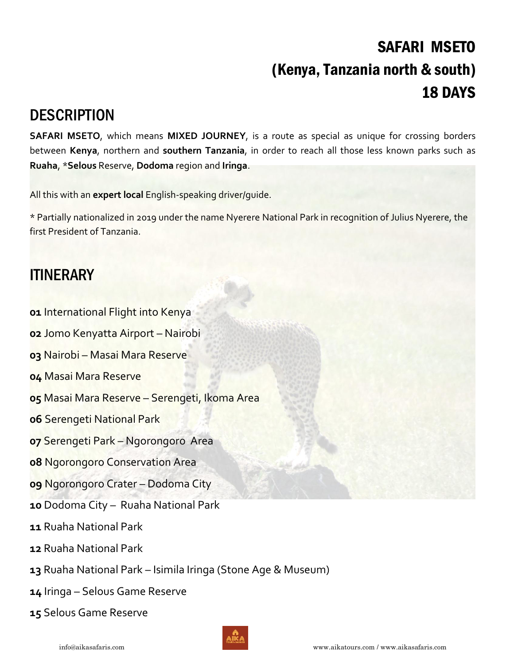# SAFARI MSETO (Kenya, Tanzania north & south) 18 DAYS

## **DESCRIPTION**

**SAFARI MSETO**, which means **MIXED JOURNEY**, is a route as special as unique for crossing borders between **Kenya**, northern and **southern Tanzania**, in order to reach all those less known parks such as **Ruaha**, \***Selous** Reserve, **Dodoma** region and **Iringa**.

All this with an **expert local** English-speaking driver/guide.

\* Partially nationalized in 2019 under the name Nyerere National Park in recognition of Julius Nyerere, the first President of Tanzania.

## ITINERARY

**01** International Flight into Kenya

**02** Jomo Kenyatta Airport – Nairobi

**03** Nairobi – Masai Mara Reserve

**04** Masai Mara Reserve

**05** Masai Mara Reserve – Serengeti, Ikoma Area

**06** Serengeti National Park

**07** Serengeti Park – Ngorongoro Area

**08** Ngorongoro Conservation Area

**09** Ngorongoro Crater – Dodoma City

**10** Dodoma City – Ruaha National Park

**11** Ruaha National Park

**12** Ruaha National Park

**13** Ruaha National Park – Isimila Iringa (Stone Age & Museum)

**14** Iringa – Selous Game Reserve

**15** Selous Game Reserve

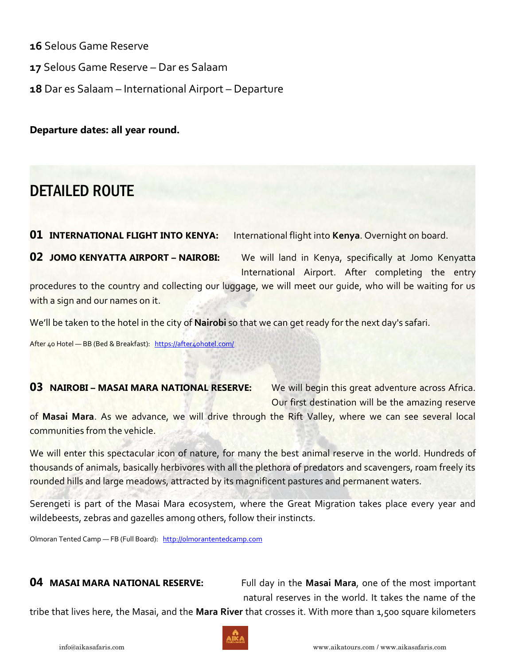**16** Selous Game Reserve

**17** Selous Game Reserve – Dar es Salaam

**18** Dar es Salaam – International Airport – Departure

**Departure dates: all year round.** 

## DETAILED ROUTE

**01 INTERNATIONAL FLIGHT INTO KENYA:** International flight into **Kenya**. Overnight on board.

**02 JOMO KENYATTA AIRPORT – NAIROBI:** We will land in Kenya, specifically at Jomo Kenyatta International Airport. After completing the entry

procedures to the country and collecting our luggage, we will meet our guide, who will be waiting for us with a sign and our names on it.

We'll be taken to the hotel in the city of **Nairobi** so that we can get ready for the next day's safari.

After 40 Hotel - BB (Bed & Breakfast): https://after4ohotel.com/

### **03 NAIROBI - MASAI MARA NATIONAL RESERVE:** We will begin this great adventure across Africa.

Our first destination will be the amazing reserve

of **Masai Mara**. As we advance, we will drive through the Rift Valley, where we can see several local communities from the vehicle.

We will enter this spectacular icon of nature, for many the best animal reserve in the world. Hundreds of thousands of animals, basically herbivores with all the plethora of predators and scavengers, roam freely its rounded hills and large meadows, attracted by its magnificent pastures and permanent waters.

Serengeti is part of the Masai Mara ecosystem, where the Great Migration takes place every year and wildebeests, zebras and gazelles among others, follow their instincts.

Olmoran Tented Camp - FB (Full Board): [http://olmorantentedcamp.com](http://olmorantentedcamp.com/)

**04 MASAI MARA NATIONAL RESERVE:** Full day in the **Masai Mara**, one of the most important natural reserves in the world. It takes the name of the

tribe that lives here, the Masai, and the **Mara River** that crosses it. With more than 1,500 square kilometers

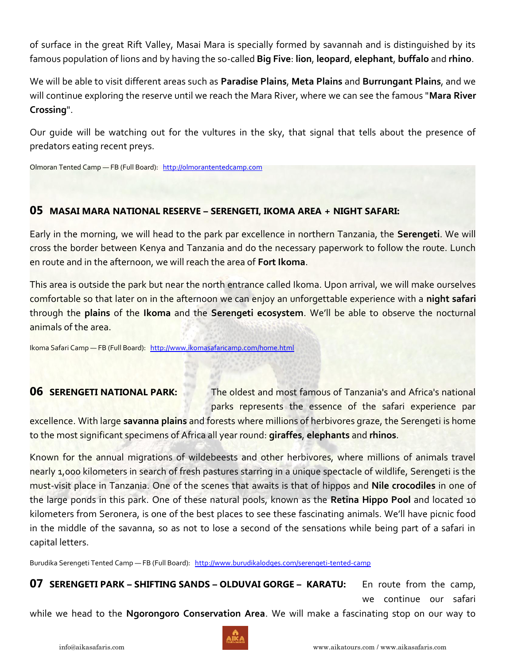of surface in the great Rift Valley, Masai Mara is specially formed by savannah and is distinguished by its famous population of lions and by having the so-called **Big Five**: **lion**, **leopard**, **elephant**, **buffalo** and **rhino**.

We will be able to visit different areas such as **Paradise Plains**, **Meta Plains** and **Burrungant Plains**, and we will continue exploring the reserve until we reach the Mara River, where we can see the famous "**Mara River Crossing**".

Our guide will be watching out for the vultures in the sky, that signal that tells about the presence of predators eating recent preys.

Olmoran Tented Camp - FB (Full Board): [http://olmorantentedcamp.com](http://olmorantentedcamp.com/)

### **05 MASAI MARA NATIONAL RESERVE – SERENGETI, IKOMA AREA + NIGHT SAFARI:**

Early in the morning, we will head to the park par excellence in northern Tanzania, the **Serengeti**. We will cross the border between Kenya and Tanzania and do the necessary paperwork to follow the route. Lunch en route and in the afternoon, we will reach the area of **Fort Ikoma**.

This area is outside the park but near the north entrance called Ikoma. Upon arrival, we will make ourselves comfortable so that later on in the afternoon we can enjoy an unforgettable experience with a **night safari** through the **plains** of the **Ikoma** and the **Serengeti ecosystem**. We'll be able to observe the nocturnal animals of the area.

Ikoma Safari Camp — FB (Full Board): <http://www.ikomasafaricamp.com/home.html>

**06 SERENGETI NATIONAL PARK:** The oldest and most famous of Tanzania's and Africa's national parks represents the essence of the safari experience par excellence. With large **savanna plains** and forests where millions of herbivores graze, the Serengeti is home to the most significant specimens of Africa all year round: **giraffes**, **elephants** and **rhinos**.

Known for the annual migrations of wildebeests and other herbivores, where millions of animals travel nearly 1,000 kilometers in search of fresh pastures starring in a unique spectacle of wildlife, Serengeti is the must-visit place in Tanzania. One of the scenes that awaits is that of hippos and **Nile crocodiles** in one of the large ponds in this park. One of these natural pools, known as the **Retina Hippo Pool** and located 10 kilometers from Seronera, is one of the best places to see these fascinating animals. We'll have picnic food in the middle of the savanna, so as not to lose a second of the sensations while being part of a safari in capital letters.

Burudika Serengeti Tented Camp - FB (Full Board): <http://www.burudikalodges.com/serengeti-tented-camp>

**07 SERENGETI PARK – SHIFTING SANDS – OLDUVAI GORGE – KARATU:** En route from the camp, we continue our safari

while we head to the **Ngorongoro Conservation Area**. We will make a fascinating stop on our way to

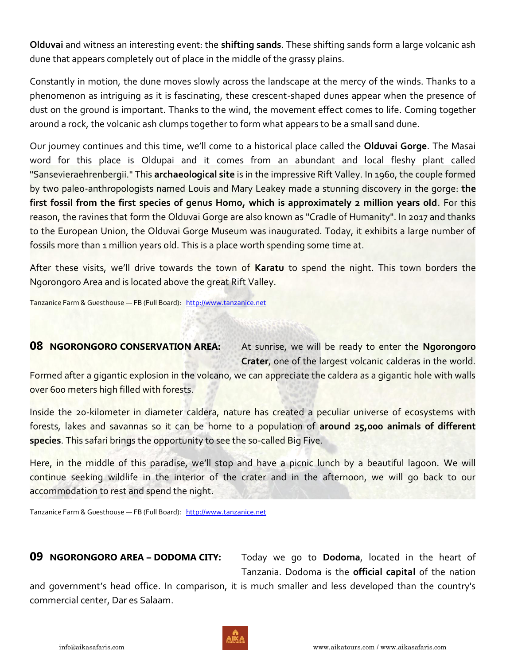**Olduvai** and witness an interesting event: the **shifting sands**. These shifting sands form a large volcanic ash dune that appears completely out of place in the middle of the grassy plains.

Constantly in motion, the dune moves slowly across the landscape at the mercy of the winds. Thanks to a phenomenon as intriguing as it is fascinating, these crescent-shaped dunes appear when the presence of dust on the ground is important. Thanks to the wind, the movement effect comes to life. Coming together around a rock, the volcanic ash clumps together to form what appears to be a small sand dune.

Our journey continues and this time, we'll come to a historical place called the **Olduvai Gorge**. The Masai word for this place is Oldupai and it comes from an abundant and local fleshy plant called "Sansevieraehrenbergii." This **archaeological site** is in the impressive Rift Valley. In 1960, the couple formed by two paleo-anthropologists named Louis and Mary Leakey made a stunning discovery in the gorge: **the first fossil from the first species of genus Homo, which is approximately 2 million years old**. For this reason, the ravines that form the Olduvai Gorge are also known as "Cradle of Humanity". In 2017 and thanks to the European Union, the Olduvai Gorge Museum was inaugurated. Today, it exhibits a large number of fossils more than 1 million years old. This is a place worth spending some time at.

After these visits, we'll drive towards the town of **Karatu** to spend the night. This town borders the Ngorongoro Area and is located above the great Rift Valley.

Tanzanice Farm & Guesthouse — FB (Full Board): [http://www.tanzanice.net](http://www.tanzanice.net/)

**08 NGORONGORO CONSERVATION AREA:** At sunrise, we will be ready to enter the **Ngorongoro Crater**, one of the largest volcanic calderas in the world.

Formed after a gigantic explosion in the volcano, we can appreciate the caldera as a gigantic hole with walls over 600 meters high filled with forests.

Inside the 20-kilometer in diameter caldera, nature has created a peculiar universe of ecosystems with forests, lakes and savannas so it can be home to a population of **around 25,000 animals of different species**. This safari brings the opportunity to see the so-called Big Five.

Here, in the middle of this paradise, we'll stop and have a picnic lunch by a beautiful lagoon. We will continue seeking wildlife in the interior of the crater and in the afternoon, we will go back to our accommodation to rest and spend the night.

Tanzanice Farm & Guesthouse - FB (Full Board): [http://www.tanzanice.net](http://www.tanzanice.net/)

**09 NGORONGORO AREA – DODOMA CITY:** Today we go to **Dodoma**, located in the heart of Tanzania. Dodoma is the **official capital** of the nation

and government's head office. In comparison, it is much smaller and less developed than the country's commercial center, Dar es Salaam.

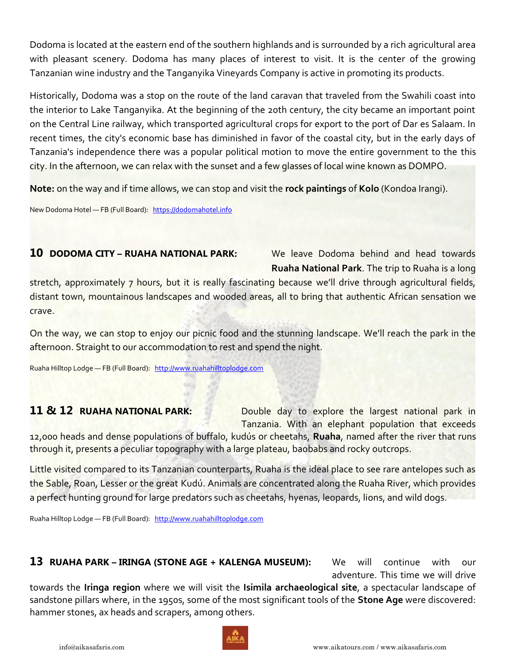Dodoma is located at the eastern end of the southern highlands and is surrounded by a rich agricultural area with pleasant scenery. Dodoma has many places of interest to visit. It is the center of the growing Tanzanian wine industry and the Tanganyika Vineyards Company is active in promoting its products.

Historically, Dodoma was a stop on the route of the land caravan that traveled from the Swahili coast into the interior to Lake Tanganyika. At the beginning of the 20th century, the city became an important point on the Central Line railway, which transported agricultural crops for export to the port of Dar es Salaam. In recent times, the city's economic base has diminished in favor of the coastal city, but in the early days of Tanzania's independence there was a popular political motion to move the entire government to the this city. In the afternoon, we can relax with the sunset and a few glasses of local wine known as DOMPO.

**Note:** on the way and if time allows, we can stop and visit the **rock paintings** of **Kolo** (Kondoa Irangi).

New Dodoma Hotel - FB (Full Board): [https://dodomahotel.info](https://dodomahotel.info/)

### **10 DODOMA CITY – RUAHA NATIONAL PARK:** We leave Dodoma behind and head towards

**Ruaha National Park**. The trip to Ruaha is a long

stretch, approximately 7 hours, but it is really fascinating because we'll drive through agricultural fields, distant town, mountainous landscapes and wooded areas, all to bring that authentic African sensation we crave.

On the way, we can stop to enjoy our picnic food and the stunning landscape. We'll reach the park in the afternoon. Straight to our accommodation to rest and spend the night.

Ruaha Hilltop Lodge - FB (Full Board): [http://www.ruahahilltoplodge.com](http://www.ruahahilltoplodge.com/)

11 & 12 **RUAHA NATIONAL PARK:** Double day to explore the largest national park in Tanzania. With an elephant population that exceeds

12,000 heads and dense populations of buffalo, kudús or cheetahs, **Ruaha**, named after the river that runs through it, presents a peculiar topography with a large plateau, baobabs and rocky outcrops.

Little visited compared to its Tanzanian counterparts, Ruaha is the ideal place to see rare antelopes such as the Sable, Roan, Lesser or the great Kudú. Animals are concentrated along the Ruaha River, which provides a perfect hunting ground for large predators such as cheetahs, hyenas, leopards, lions, and wild dogs.

Ruaha Hilltop Lodge - FB (Full Board): [http://www.ruahahilltoplodge.com](http://www.ruahahilltoplodge.com/)

### **13 RUAHA PARK – IRINGA (STONE AGE + KALENGA MUSEUM):** We will continue with our

adventure. This time we will drive

towards the **Iringa region** where we will visit the **Isimila archaeological site**, a spectacular landscape of sandstone pillars where, in the 1950s, some of the most significant tools of the **Stone Age** were discovered: hammer stones, ax heads and scrapers, among others.

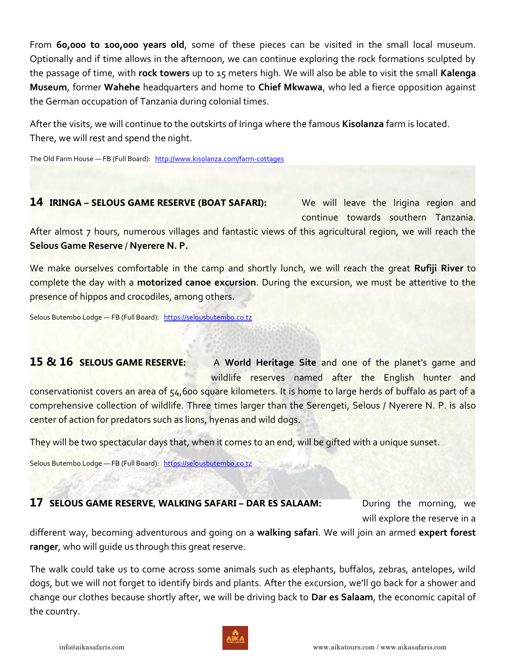From **60,000 to 100,000 years old**, some of these pieces can be visited in the small local museum. Optionally and if time allows in the afternoon, we can continue exploring the rock formations sculpted by the passage of time, with **rock towers** up to 15 meters high. We will also be able to visit the small **Kalenga Museum**, former **Wahehe** headquarters and home to **Chief Mkwawa**, who led a fierce opposition against the German occupation of Tanzania during colonial times.

After the visits, we will continue to the outskirts of Iringa where the famous **Kisolanza** farm is located. There, we will rest and spend the night.

The Old Farm House — FB (Full Board): <http://www.kisolanza.com/farm-cottages>

### **14 IRINGA – SELOUS GAME RESERVE (BOAT SAFARI):** We will leave the Irigina region and

continue towards southern Tanzania.

After almost 7 hours, numerous villages and fantastic views of this agricultural region, we will reach the **Selous Game Reserve** / **Nyerere N. P.**

We make ourselves comfortable in the camp and shortly lunch, we will reach the great **Rufiji River** to complete the day with a **motorized canoe excursion**. During the excursion, we must be attentive to the presence of hippos and crocodiles, among others.

Selous Butembo Lodge - FB (Full Board): [https://selousbutembo.co.tz](https://selousbutembo.co.tz/)

### **15 & 16 SELOUS GAME RESERVE:** A **World Heritage Site** and one of the planet's game and

wildlife reserves named after the English hunter and conservationist covers an area of 54,600 square kilometers. It is home to large herds of buffalo as part of a comprehensive collection of wildlife. Three times larger than the Serengeti, Selous / Nyerere N. P. is also center of action for predators such as lions, hyenas and wild dogs.

They will be two spectacular days that, when it comes to an end, will be gifted with a unique sunset.

Selous Butembo Lodge - FB (Full Board): [https://selousbutembo.co.tz](https://selousbutembo.co.tz/)

### **17 SELOUS GAME RESERVE, WALKING SAFARI – DAR ES SALAAM:** During the morning, we

will explore the reserve in a

different way, becoming adventurous and going on a **walking safari**. We will join an armed **expert forest ranger**, who will guide us through this great reserve.

The walk could take us to come across some animals such as elephants, buffalos, zebras, antelopes, wild dogs, but we will not forget to identify birds and plants. After the excursion, we'll go back for a shower and change our clothes because shortly after, we will be driving back to **Dar es Salaam**, the economic capital of the country.

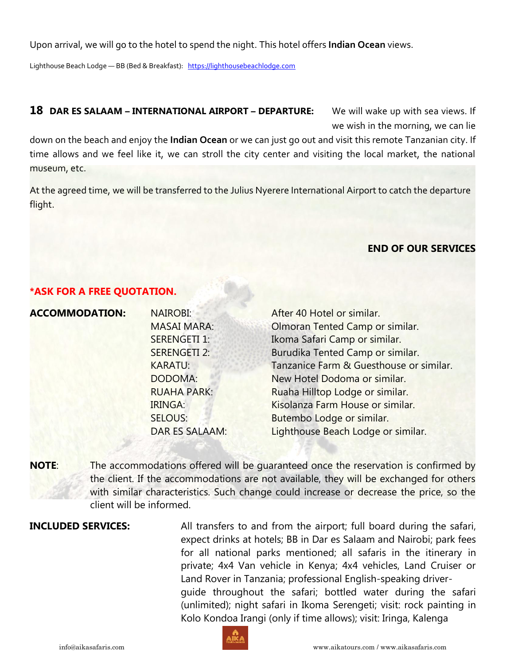Upon arrival, we will go to the hotel to spend the night. This hotel offers **Indian Ocean** views.

Lighthouse Beach Lodge - BB (Bed & Breakfast): [https://lighthousebeachlodge.com](https://lighthousebeachlodge.com/)

### **18 DAR ES SALAAM – INTERNATIONAL AIRPORT – DEPARTURE:** We will wake up with sea views. If

we wish in the morning, we can lie

down on the beach and enjoy the **Indian Ocean** or we can just go out and visit this remote Tanzanian city. If time allows and we feel like it, we can stroll the city center and visiting the local market, the national museum, etc.

At the agreed time, we will be transferred to the Julius Nyerere International Airport to catch the departure flight.

### **END OF OUR SERVICES**

### **\*ASK FOR A FREE QUOTATION.**

| <b>ACCOMMODATION:</b> | <b>NAIROBI:</b>       | After 40 Hotel or similar.              |
|-----------------------|-----------------------|-----------------------------------------|
|                       | <b>MASAI MARA:</b>    | Olmoran Tented Camp or similar.         |
|                       | <b>SERENGETI 1:</b>   | Ikoma Safari Camp or similar.           |
|                       | <b>SERENGETI 2:</b>   | Burudika Tented Camp or similar.        |
|                       | <b>KARATU:</b>        | Tanzanice Farm & Guesthouse or similar. |
|                       | <b>DODOMA:</b>        | New Hotel Dodoma or similar.            |
|                       | <b>RUAHA PARK:</b>    | Ruaha Hilltop Lodge or similar.         |
|                       | <b>IRINGA:</b>        | Kisolanza Farm House or similar.        |
|                       | <b>SELOUS:</b>        | Butembo Lodge or similar.               |
|                       | <b>DAR ES SALAAM:</b> | Lighthouse Beach Lodge or similar.      |

**NOTE**: The accommodations offered will be guaranteed once the reservation is confirmed by the client. If the accommodations are not available, they will be exchanged for others with similar characteristics. Such change could increase or decrease the price, so the client will be informed.

**INCLUDED SERVICES:** All transfers to and from the airport; full board during the safari, expect drinks at hotels; BB in Dar es Salaam and Nairobi; park fees for all national parks mentioned; all safaris in the itinerary in private; 4x4 Van vehicle in Kenya; 4x4 vehicles, Land Cruiser or Land Rover in Tanzania; professional English-speaking driverguide throughout the safari; bottled water during the safari (unlimited); night safari in Ikoma Serengeti; visit: rock painting in Kolo Kondoa Irangi (only if time allows); visit: Iringa, Kalenga